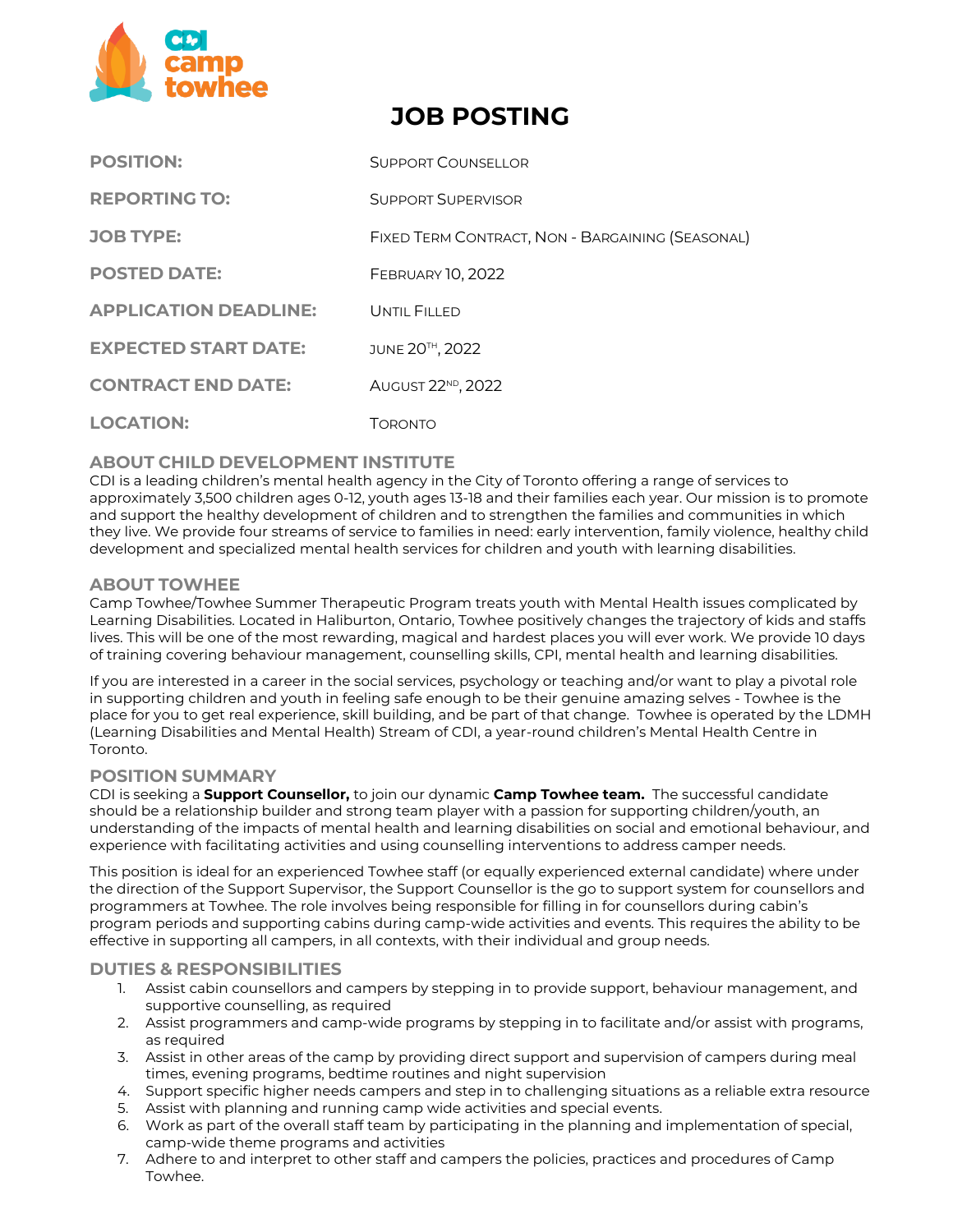

# **JOB POSTING**

| <b>POSITION:</b>             | SUPPORT COUNSELLOR                               |
|------------------------------|--------------------------------------------------|
| <b>REPORTING TO:</b>         | <b>SUPPORT SUPERVISOR</b>                        |
| <b>JOB TYPE:</b>             | FIXED TERM CONTRACT, NON - BARGAINING (SEASONAL) |
| <b>POSTED DATE:</b>          | <b>FEBRUARY 10, 2022</b>                         |
| <b>APPLICATION DEADLINE:</b> | UNTIL FILLED                                     |
| <b>EXPECTED START DATE:</b>  | JUNE 20TH, 2022                                  |
| <b>CONTRACT END DATE:</b>    | AUGUST 22 <sup>ND</sup> , 2022                   |
| <b>LOCATION:</b>             | Торомто                                          |

# **ABOUT CHILD DEVELOPMENT INSTITUTE**

CDI is a leading children's mental health agency in the City of Toronto offering a range of services to approximately 3,500 children ages 0‐12, youth ages 13-18 and their families each year. Our mission is to promote and support the healthy development of children and to strengthen the families and communities in which they live. We provide four streams of service to families in need: early intervention, family violence, healthy child development and specialized mental health services for children and youth with learning disabilities.

# **ABOUT TOWHEE**

Camp Towhee/Towhee Summer Therapeutic Program treats youth with Mental Health issues complicated by Learning Disabilities. Located in Haliburton, Ontario, Towhee positively changes the trajectory of kids and staffs lives. This will be one of the most rewarding, magical and hardest places you will ever work. We provide 10 days of training covering behaviour management, counselling skills, CPI, mental health and learning disabilities.

If you are interested in a career in the social services, psychology or teaching and/or want to play a pivotal role in supporting children and youth in feeling safe enough to be their genuine amazing selves - Towhee is the place for you to get real experience, skill building, and be part of that change. Towhee is operated by the LDMH (Learning Disabilities and Mental Health) Stream of CDI, a year-round children's Mental Health Centre in Toronto.

### **POSITION SUMMARY**

CDI is seeking a **Support Counsellor,** to join our dynamic **Camp Towhee team.** The successful candidate should be a relationship builder and strong team player with a passion for supporting children/youth, an understanding of the impacts of mental health and learning disabilities on social and emotional behaviour, and experience with facilitating activities and using counselling interventions to address camper needs.

This position is ideal for an experienced Towhee staff (or equally experienced external candidate) where under the direction of the Support Supervisor, the Support Counsellor is the go to support system for counsellors and programmers at Towhee. The role involves being responsible for filling in for counsellors during cabin's program periods and supporting cabins during camp-wide activities and events. This requires the ability to be effective in supporting all campers, in all contexts, with their individual and group needs.

# **DUTIES & RESPONSIBILITIES**

- 1. Assist cabin counsellors and campers by stepping in to provide support, behaviour management, and supportive counselling, as required
- 2. Assist programmers and camp-wide programs by stepping in to facilitate and/or assist with programs, as required
- 3. Assist in other areas of the camp by providing direct support and supervision of campers during meal times, evening programs, bedtime routines and night supervision
- 4. Support specific higher needs campers and step in to challenging situations as a reliable extra resource
- 5. Assist with planning and running camp wide activities and special events.
- 6. Work as part of the overall staff team by participating in the planning and implementation of special, camp-wide theme programs and activities
- 7. Adhere to and interpret to other staff and campers the policies, practices and procedures of Camp Towhee.